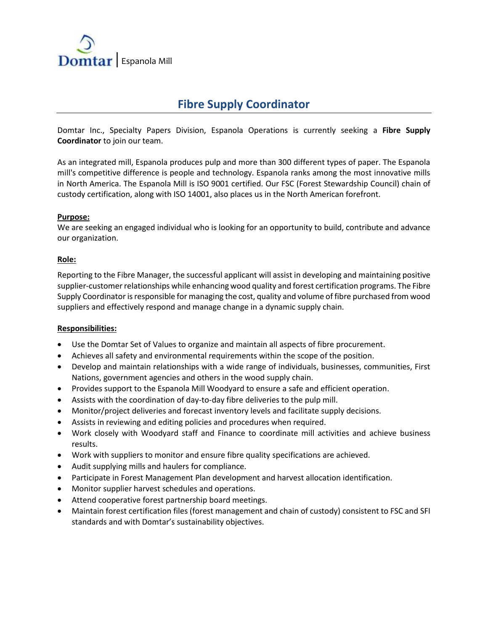

# **Fibre Supply Coordinator**

Domtar Inc., Specialty Papers Division, Espanola Operations is currently seeking a **Fibre Supply Coordinator** to join our team.

As an integrated mill, Espanola produces pulp and more than 300 different types of paper. The Espanola mill's competitive difference is people and technology. Espanola ranks among the most innovative mills in North America. The Espanola Mill is ISO 9001 certified. Our FSC (Forest Stewardship Council) chain of custody certification, along with ISO 14001, also places us in the North American forefront.

## **Purpose:**

We are seeking an engaged individual who is looking for an opportunity to build, contribute and advance our organization.

#### **Role:**

Reporting to the Fibre Manager, the successful applicant will assist in developing and maintaining positive supplier-customer relationships while enhancing wood quality and forest certification programs. The Fibre Supply Coordinator is responsible for managing the cost, quality and volume of fibre purchased from wood suppliers and effectively respond and manage change in a dynamic supply chain.

#### **Responsibilities:**

- Use the Domtar Set of Values to organize and maintain all aspects of fibre procurement.
- Achieves all safety and environmental requirements within the scope of the position.
- Develop and maintain relationships with a wide range of individuals, businesses, communities, First Nations, government agencies and others in the wood supply chain.
- Provides support to the Espanola Mill Woodyard to ensure a safe and efficient operation.
- Assists with the coordination of day-to-day fibre deliveries to the pulp mill.
- Monitor/project deliveries and forecast inventory levels and facilitate supply decisions.
- Assists in reviewing and editing policies and procedures when required.
- Work closely with Woodyard staff and Finance to coordinate mill activities and achieve business results.
- Work with suppliers to monitor and ensure fibre quality specifications are achieved.
- Audit supplying mills and haulers for compliance.
- Participate in Forest Management Plan development and harvest allocation identification.
- Monitor supplier harvest schedules and operations.
- Attend cooperative forest partnership board meetings.
- Maintain forest certification files (forest management and chain of custody) consistent to FSC and SFI standards and with Domtar's sustainability objectives.